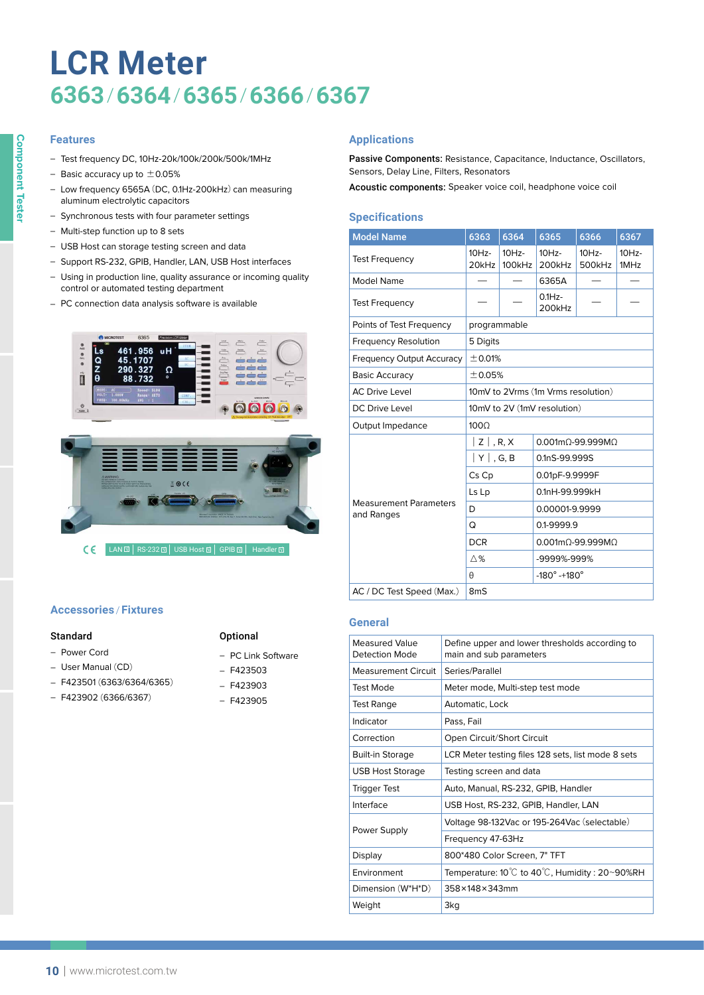# **LCR Meter 6363**/**6364**/**6365**/**6366**/**6367**

## **Features**

- ‒ Test frequency DC, 10Hz-20k/100k/200k/500k/1MHz
- Basic accuracy up to  $\pm$  0.05%
- Low frequency 6565A (DC, 0.1Hz-200kHz) can measuring aluminum electrolytic capacitors
- Synchronous tests with four parameter settings
- Multi-step function up to 8 sets
- USB Host can storage testing screen and data
- ‒ Support RS-232, GPIB, Handler, LAN, USB Host interfaces
- Using in production line, quality assurance or incoming quality control or automated testing department
- PC connection data analysis software is available



CC LAN I RS-232 I USB Host I GPIB I Handler I

# **Accessories** / **Fixtures**

#### Standard

- ‒ Power Cord
- User Manual (CD)
- ‒ F423501 (6363/6364/6365)
- $-$  F423902 (6366/6367)

#### **Optional**

- PC Link Software
- $F423503$
- $-$  F423903
- $F423905$

## **Applications**

Passive Components: Resistance, Capacitance, Inductance, Oscillators, Sensors, Delay Line, Filters, Resonators

Acoustic components: Speaker voice coil, headphone voice coil

# **Specifications**

| <b>Model Name</b>                           | 6363                        | 6364               | 6365                                 | 6366               | 6367             |  |
|---------------------------------------------|-----------------------------|--------------------|--------------------------------------|--------------------|------------------|--|
| <b>Test Frequency</b>                       | $10Hz -$<br>20kHz           | $10Hz -$<br>100kHz | $10Hz -$<br>200kHz                   | $10Hz -$<br>500kHz | $10Hz -$<br>1MHz |  |
| Model Name                                  |                             |                    | 6365A                                |                    |                  |  |
| <b>Test Frequency</b>                       |                             |                    | $0.1Hz -$<br>200kHz                  |                    |                  |  |
| Points of Test Frequency                    | programmable                |                    |                                      |                    |                  |  |
| <b>Frequency Resolution</b>                 | 5 Digits                    |                    |                                      |                    |                  |  |
| <b>Frequency Output Accuracy</b>            | ± 0.01%                     |                    |                                      |                    |                  |  |
| <b>Basic Accuracy</b>                       | ±0.05%                      |                    |                                      |                    |                  |  |
| <b>AC Drive Level</b>                       |                             |                    | 10mV to 2Vrms (1m Vrms resolution)   |                    |                  |  |
| <b>DC Drive Level</b>                       | 10mV to 2V (1mV resolution) |                    |                                      |                    |                  |  |
| Output Impedance                            | $100\Omega$                 |                    |                                      |                    |                  |  |
|                                             | $ Z $ , R, X                |                    | 0.001mO-99.999MO                     |                    |                  |  |
|                                             | $ Y $ , G, B                |                    | 0.1nS-99.999S                        |                    |                  |  |
|                                             | Cs Cp                       |                    | 0.01pF-9.9999F                       |                    |                  |  |
|                                             | Ls Lp                       |                    | 0.1nH-99.999kH                       |                    |                  |  |
| <b>Measurement Parameters</b><br>and Ranges | D                           |                    | 0.00001-9.9999                       |                    |                  |  |
|                                             | Q                           |                    | 0.1-9999.9                           |                    |                  |  |
|                                             | <b>DCR</b>                  |                    | $0.001$ m $\Omega$ -99.999M $\Omega$ |                    |                  |  |
|                                             | $\wedge\%$                  |                    | -9999%-999%                          |                    |                  |  |
|                                             | θ                           |                    | $-180^\circ -180^\circ$              |                    |                  |  |
| AC / DC Test Speed (Max.)                   | 8 <sub>m</sub> S            |                    |                                      |                    |                  |  |

## **General**

| <b>Measured Value</b><br>Detection Mode | Define upper and lower thresholds according to<br>main and sub parameters |  |  |  |
|-----------------------------------------|---------------------------------------------------------------------------|--|--|--|
| <b>Measurement Circuit</b>              | Series/Parallel                                                           |  |  |  |
| <b>Test Mode</b>                        | Meter mode, Multi-step test mode                                          |  |  |  |
| <b>Test Range</b>                       | Automatic, Lock                                                           |  |  |  |
| Indicator                               | Pass, Fail                                                                |  |  |  |
| Correction                              | Open Circuit/Short Circuit                                                |  |  |  |
| <b>Built-in Storage</b>                 | LCR Meter testing files 128 sets, list mode 8 sets                        |  |  |  |
| <b>USB Host Storage</b>                 | Testing screen and data                                                   |  |  |  |
| <b>Trigger Test</b>                     | Auto, Manual, RS-232, GPIB, Handler                                       |  |  |  |
| Interface                               | USB Host, RS-232, GPIB, Handler, LAN                                      |  |  |  |
|                                         | Voltage 98-132Vac or 195-264Vac (selectable)                              |  |  |  |
| Power Supply                            | Frequency 47-63Hz                                                         |  |  |  |
| Display                                 | 800*480 Color Screen, 7" TFT                                              |  |  |  |
| Environment                             | Temperature: $10^{\circ}$ C to $40^{\circ}$ C, Humidity: 20~90%RH         |  |  |  |
| Dimension (W*H*D)                       | 358×148×343mm                                                             |  |  |  |
| Weight                                  | 3kg                                                                       |  |  |  |